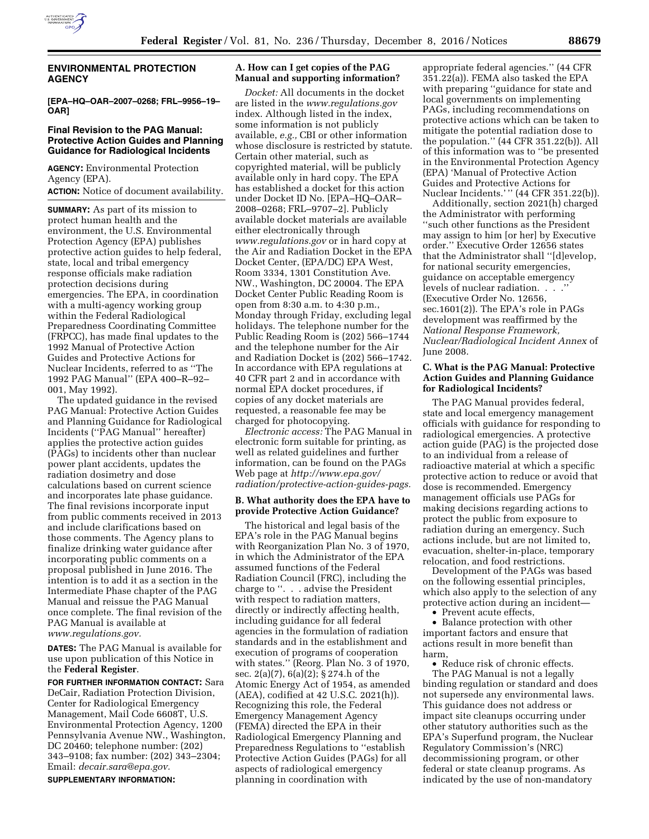

# **ENVIRONMENTAL PROTECTION AGENCY**

**[EPA–HQ–OAR–2007–0268; FRL–9956–19– OAR]** 

#### **Final Revision to the PAG Manual: Protective Action Guides and Planning Guidance for Radiological Incidents**

**AGENCY:** Environmental Protection Agency (EPA). **ACTION:** Notice of document availability.

**SUMMARY:** As part of its mission to protect human health and the environment, the U.S. Environmental Protection Agency (EPA) publishes protective action guides to help federal, state, local and tribal emergency response officials make radiation protection decisions during emergencies. The EPA, in coordination with a multi-agency working group within the Federal Radiological Preparedness Coordinating Committee (FRPCC), has made final updates to the 1992 Manual of Protective Action Guides and Protective Actions for Nuclear Incidents, referred to as ''The 1992 PAG Manual'' (EPA 400–R–92– 001, May 1992).

The updated guidance in the revised PAG Manual: Protective Action Guides and Planning Guidance for Radiological Incidents (''PAG Manual'' hereafter) applies the protective action guides (PAGs) to incidents other than nuclear power plant accidents, updates the radiation dosimetry and dose calculations based on current science and incorporates late phase guidance. The final revisions incorporate input from public comments received in 2013 and include clarifications based on those comments. The Agency plans to finalize drinking water guidance after incorporating public comments on a proposal published in June 2016. The intention is to add it as a section in the Intermediate Phase chapter of the PAG Manual and reissue the PAG Manual once complete. The final revision of the PAG Manual is available at *[www.regulations.gov.](http://www.regulations.gov)* 

**DATES:** The PAG Manual is available for use upon publication of this Notice in the **Federal Register**.

**FOR FURTHER INFORMATION CONTACT:** Sara DeCair, Radiation Protection Division, Center for Radiological Emergency Management, Mail Code 6608T, U.S. Environmental Protection Agency, 1200 Pennsylvania Avenue NW., Washington, DC 20460; telephone number: (202) 343–9108; fax number: (202) 343–2304; Email: *[decair.sara@epa.gov.](mailto:decair.sara@epa.gov)*  **SUPPLEMENTARY INFORMATION:** 

### **A. How can I get copies of the PAG Manual and supporting information?**

*Docket:* All documents in the docket are listed in the *[www.regulations.gov](http://www.regulations.gov)*  index. Although listed in the index, some information is not publicly available, *e.g.,* CBI or other information whose disclosure is restricted by statute. Certain other material, such as copyrighted material, will be publicly available only in hard copy. The EPA has established a docket for this action under Docket ID No. [EPA–HQ–OAR– 2008–0268; FRL–9707–2]. Publicly available docket materials are available either electronically through *[www.regulations.gov](http://www.regulations.gov)* or in hard copy at the Air and Radiation Docket in the EPA Docket Center, (EPA/DC) EPA West, Room 3334, 1301 Constitution Ave. NW., Washington, DC 20004. The EPA Docket Center Public Reading Room is open from 8:30 a.m. to 4:30 p.m., Monday through Friday, excluding legal holidays. The telephone number for the Public Reading Room is (202) 566–1744 and the telephone number for the Air and Radiation Docket is (202) 566–1742. In accordance with EPA regulations at 40 CFR part 2 and in accordance with normal EPA docket procedures, if copies of any docket materials are requested, a reasonable fee may be charged for photocopying.

*Electronic access:* The PAG Manual in electronic form suitable for printing, as well as related guidelines and further information, can be found on the PAGs Web page at *[http://www.epa.gov/](http://www.epa.gov/radiation/protective-action-guides-pags) [radiation/protective-action-guides-pags.](http://www.epa.gov/radiation/protective-action-guides-pags)* 

#### **B. What authority does the EPA have to provide Protective Action Guidance?**

The historical and legal basis of the EPA's role in the PAG Manual begins with Reorganization Plan No. 3 of 1970, in which the Administrator of the EPA assumed functions of the Federal Radiation Council (FRC), including the charge to ''. . . advise the President with respect to radiation matters, directly or indirectly affecting health, including guidance for all federal agencies in the formulation of radiation standards and in the establishment and execution of programs of cooperation with states.'' (Reorg. Plan No. 3 of 1970, sec. 2(a)(7), 6(a)(2); § 274.h of the Atomic Energy Act of 1954, as amended (AEA), codified at 42 U.S.C. 2021(h)). Recognizing this role, the Federal Emergency Management Agency (FEMA) directed the EPA in their Radiological Emergency Planning and Preparedness Regulations to ''establish Protective Action Guides (PAGs) for all aspects of radiological emergency planning in coordination with

appropriate federal agencies.'' (44 CFR 351.22(a)). FEMA also tasked the EPA with preparing ''guidance for state and local governments on implementing PAGs, including recommendations on protective actions which can be taken to mitigate the potential radiation dose to the population.'' (44 CFR 351.22(b)). All of this information was to ''be presented in the Environmental Protection Agency (EPA) 'Manual of Protective Action Guides and Protective Actions for Nuclear Incidents.'" (44 CFR 351.22(b)).

Additionally, section 2021(h) charged the Administrator with performing ''such other functions as the President may assign to him [or her] by Executive order.'' Executive Order 12656 states that the Administrator shall ''[d]evelop, for national security emergencies, guidance on acceptable emergency levels of nuclear radiation. . . .'' (Executive Order No. 12656, sec.1601(2)). The EPA's role in PAGs development was reaffirmed by the *National Response Framework, Nuclear/Radiological Incident Annex* of June 2008.

# **C. What is the PAG Manual: Protective Action Guides and Planning Guidance for Radiological Incidents?**

The PAG Manual provides federal, state and local emergency management officials with guidance for responding to radiological emergencies. A protective action guide (PAG) is the projected dose to an individual from a release of radioactive material at which a specific protective action to reduce or avoid that dose is recommended. Emergency management officials use PAGs for making decisions regarding actions to protect the public from exposure to radiation during an emergency. Such actions include, but are not limited to, evacuation, shelter-in-place, temporary relocation, and food restrictions.

Development of the PAGs was based on the following essential principles, which also apply to the selection of any protective action during an incident—

• Prevent acute effects,

• Balance protection with other important factors and ensure that actions result in more benefit than harm,

• Reduce risk of chronic effects. The PAG Manual is not a legally binding regulation or standard and does not supersede any environmental laws. This guidance does not address or impact site cleanups occurring under other statutory authorities such as the EPA's Superfund program, the Nuclear Regulatory Commission's (NRC) decommissioning program, or other federal or state cleanup programs. As indicated by the use of non-mandatory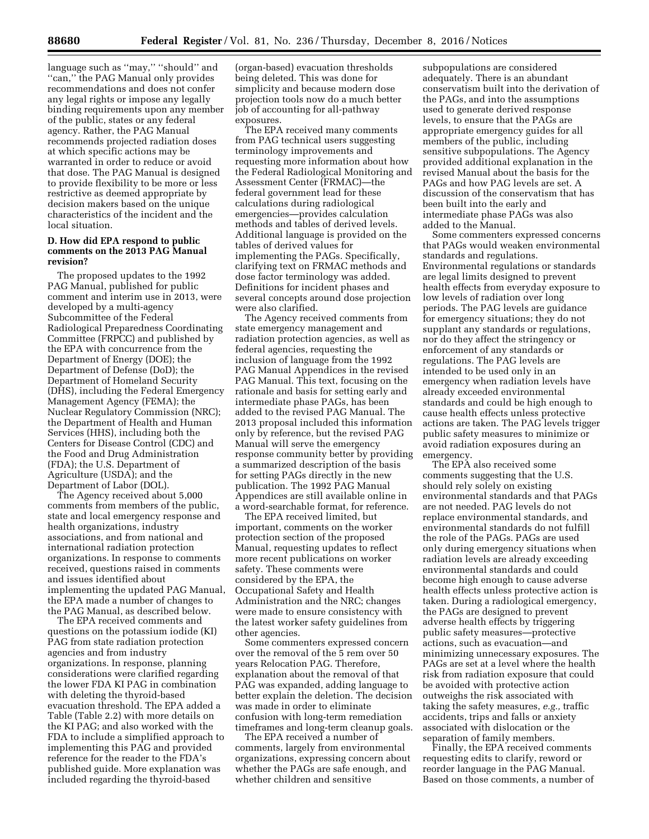language such as ''may,'' ''should'' and ''can,'' the PAG Manual only provides recommendations and does not confer any legal rights or impose any legally binding requirements upon any member of the public, states or any federal agency. Rather, the PAG Manual recommends projected radiation doses at which specific actions may be warranted in order to reduce or avoid that dose. The PAG Manual is designed to provide flexibility to be more or less restrictive as deemed appropriate by decision makers based on the unique characteristics of the incident and the local situation.

### **D. How did EPA respond to public comments on the 2013 PAG Manual revision?**

The proposed updates to the 1992 PAG Manual, published for public comment and interim use in 2013, were developed by a multi-agency Subcommittee of the Federal Radiological Preparedness Coordinating Committee (FRPCC) and published by the EPA with concurrence from the Department of Energy (DOE); the Department of Defense (DoD); the Department of Homeland Security (DHS), including the Federal Emergency Management Agency (FEMA); the Nuclear Regulatory Commission (NRC); the Department of Health and Human Services (HHS), including both the Centers for Disease Control (CDC) and the Food and Drug Administration (FDA); the U.S. Department of Agriculture (USDA); and the Department of Labor (DOL).

The Agency received about 5,000 comments from members of the public, state and local emergency response and health organizations, industry associations, and from national and international radiation protection organizations. In response to comments received, questions raised in comments and issues identified about implementing the updated PAG Manual, the EPA made a number of changes to the PAG Manual, as described below.

The EPA received comments and questions on the potassium iodide (KI) PAG from state radiation protection agencies and from industry organizations. In response, planning considerations were clarified regarding the lower FDA KI PAG in combination with deleting the thyroid-based evacuation threshold. The EPA added a Table (Table 2.2) with more details on the KI PAG; and also worked with the FDA to include a simplified approach to implementing this PAG and provided reference for the reader to the FDA's published guide. More explanation was included regarding the thyroid-based

(organ-based) evacuation thresholds being deleted. This was done for simplicity and because modern dose projection tools now do a much better job of accounting for all-pathway exposures.

The EPA received many comments from PAG technical users suggesting terminology improvements and requesting more information about how the Federal Radiological Monitoring and Assessment Center (FRMAC)—the federal government lead for these calculations during radiological emergencies—provides calculation methods and tables of derived levels. Additional language is provided on the tables of derived values for implementing the PAGs. Specifically, clarifying text on FRMAC methods and dose factor terminology was added. Definitions for incident phases and several concepts around dose projection were also clarified.

The Agency received comments from state emergency management and radiation protection agencies, as well as federal agencies, requesting the inclusion of language from the 1992 PAG Manual Appendices in the revised PAG Manual. This text, focusing on the rationale and basis for setting early and intermediate phase PAGs, has been added to the revised PAG Manual. The 2013 proposal included this information only by reference, but the revised PAG Manual will serve the emergency response community better by providing a summarized description of the basis for setting PAGs directly in the new publication. The 1992 PAG Manual Appendices are still available online in a word-searchable format, for reference.

The EPA received limited, but important, comments on the worker protection section of the proposed Manual, requesting updates to reflect more recent publications on worker safety. These comments were considered by the EPA, the Occupational Safety and Health Administration and the NRC; changes were made to ensure consistency with the latest worker safety guidelines from other agencies.

Some commenters expressed concern over the removal of the 5 rem over 50 years Relocation PAG. Therefore, explanation about the removal of that PAG was expanded, adding language to better explain the deletion. The decision was made in order to eliminate confusion with long-term remediation timeframes and long-term cleanup goals.

The EPA received a number of comments, largely from environmental organizations, expressing concern about whether the PAGs are safe enough, and whether children and sensitive

subpopulations are considered adequately. There is an abundant conservatism built into the derivation of the PAGs, and into the assumptions used to generate derived response levels, to ensure that the PAGs are appropriate emergency guides for all members of the public, including sensitive subpopulations. The Agency provided additional explanation in the revised Manual about the basis for the PAGs and how PAG levels are set. A discussion of the conservatism that has been built into the early and intermediate phase PAGs was also added to the Manual.

Some commenters expressed concerns that PAGs would weaken environmental standards and regulations. Environmental regulations or standards are legal limits designed to prevent health effects from everyday exposure to low levels of radiation over long periods. The PAG levels are guidance for emergency situations; they do not supplant any standards or regulations, nor do they affect the stringency or enforcement of any standards or regulations. The PAG levels are intended to be used only in an emergency when radiation levels have already exceeded environmental standards and could be high enough to cause health effects unless protective actions are taken. The PAG levels trigger public safety measures to minimize or avoid radiation exposures during an emergency.

The EPA also received some comments suggesting that the U.S. should rely solely on existing environmental standards and that PAGs are not needed. PAG levels do not replace environmental standards, and environmental standards do not fulfill the role of the PAGs. PAGs are used only during emergency situations when radiation levels are already exceeding environmental standards and could become high enough to cause adverse health effects unless protective action is taken. During a radiological emergency, the PAGs are designed to prevent adverse health effects by triggering public safety measures—protective actions, such as evacuation—and minimizing unnecessary exposures. The PAGs are set at a level where the health risk from radiation exposure that could be avoided with protective action outweighs the risk associated with taking the safety measures, *e.g.,* traffic accidents, trips and falls or anxiety associated with dislocation or the separation of family members.

Finally, the EPA received comments requesting edits to clarify, reword or reorder language in the PAG Manual. Based on those comments, a number of